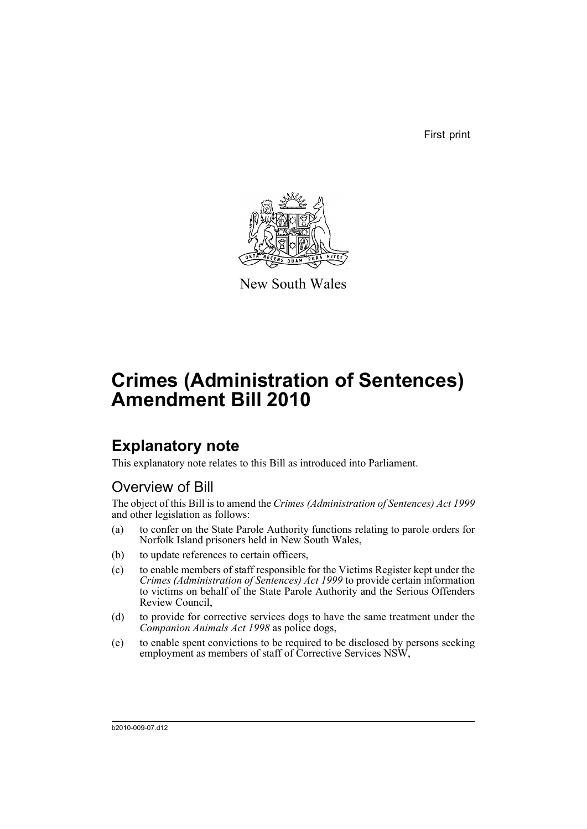First print



New South Wales

## **Crimes (Administration of Sentences) Amendment Bill 2010**

## **Explanatory note**

This explanatory note relates to this Bill as introduced into Parliament.

## Overview of Bill

The object of this Bill is to amend the *Crimes (Administration of Sentences) Act 1999* and other legislation as follows:

- (a) to confer on the State Parole Authority functions relating to parole orders for Norfolk Island prisoners held in New South Wales,
- (b) to update references to certain officers,
- (c) to enable members of staff responsible for the Victims Register kept under the *Crimes (Administration of Sentences) Act 1999* to provide certain information to victims on behalf of the State Parole Authority and the Serious Offenders Review Council,
- (d) to provide for corrective services dogs to have the same treatment under the *Companion Animals Act 1998* as police dogs,
- (e) to enable spent convictions to be required to be disclosed by persons seeking employment as members of staff of Corrective Services NSW,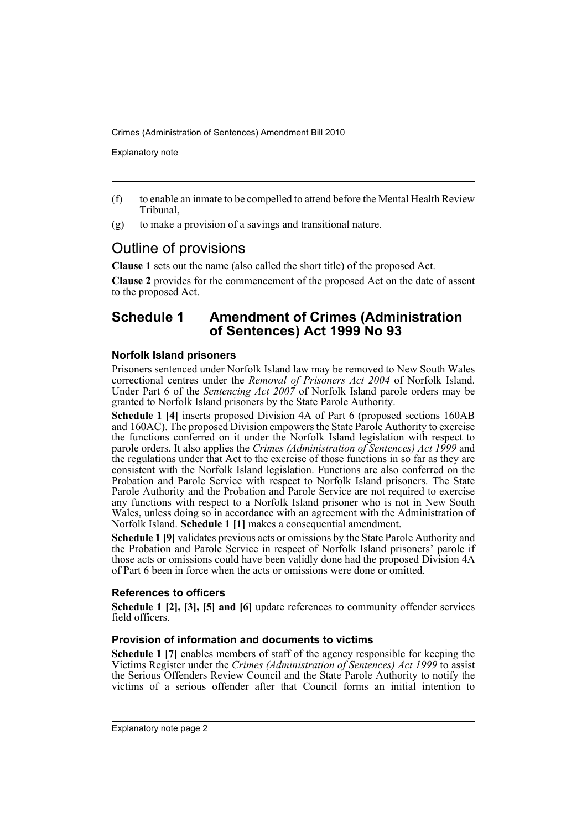Explanatory note

- (f) to enable an inmate to be compelled to attend before the Mental Health Review Tribunal,
- (g) to make a provision of a savings and transitional nature.

### Outline of provisions

**Clause 1** sets out the name (also called the short title) of the proposed Act.

**Clause 2** provides for the commencement of the proposed Act on the date of assent to the proposed Act.

#### **Schedule 1 Amendment of Crimes (Administration of Sentences) Act 1999 No 93**

#### **Norfolk Island prisoners**

Prisoners sentenced under Norfolk Island law may be removed to New South Wales correctional centres under the *Removal of Prisoners Act 2004* of Norfolk Island. Under Part 6 of the *Sentencing Act 2007* of Norfolk Island parole orders may be granted to Norfolk Island prisoners by the State Parole Authority.

**Schedule 1 [4]** inserts proposed Division 4A of Part 6 (proposed sections 160AB and 160AC). The proposed Division empowers the State Parole Authority to exercise the functions conferred on it under the Norfolk Island legislation with respect to parole orders. It also applies the *Crimes (Administration of Sentences) Act 1999* and the regulations under that Act to the exercise of those functions in so far as they are consistent with the Norfolk Island legislation. Functions are also conferred on the Probation and Parole Service with respect to Norfolk Island prisoners. The State Parole Authority and the Probation and Parole Service are not required to exercise any functions with respect to a Norfolk Island prisoner who is not in New South Wales, unless doing so in accordance with an agreement with the Administration of Norfolk Island. **Schedule 1 [1]** makes a consequential amendment.

**Schedule 1 [9]** validates previous acts or omissions by the State Parole Authority and the Probation and Parole Service in respect of Norfolk Island prisoners' parole if those acts or omissions could have been validly done had the proposed Division 4A of Part 6 been in force when the acts or omissions were done or omitted.

#### **References to officers**

**Schedule 1 [2], [3], [5] and [6]** update references to community offender services field officers.

#### **Provision of information and documents to victims**

**Schedule 1 [7]** enables members of staff of the agency responsible for keeping the Victims Register under the *Crimes (Administration of Sentences) Act 1999* to assist the Serious Offenders Review Council and the State Parole Authority to notify the victims of a serious offender after that Council forms an initial intention to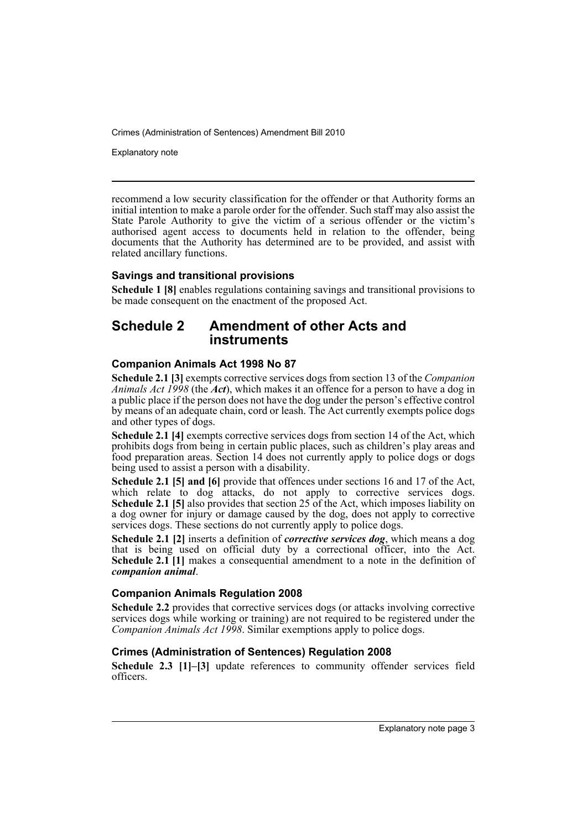Explanatory note

recommend a low security classification for the offender or that Authority forms an initial intention to make a parole order for the offender. Such staff may also assist the State Parole Authority to give the victim of a serious offender or the victim's authorised agent access to documents held in relation to the offender, being documents that the Authority has determined are to be provided, and assist with related ancillary functions.

#### **Savings and transitional provisions**

**Schedule 1 [8]** enables regulations containing savings and transitional provisions to be made consequent on the enactment of the proposed Act.

#### **Schedule 2 Amendment of other Acts and instruments**

#### **Companion Animals Act 1998 No 87**

**Schedule 2.1 [3]** exempts corrective services dogs from section 13 of the *Companion Animals Act 1998* (the *Act*), which makes it an offence for a person to have a dog in a public place if the person does not have the dog under the person's effective control by means of an adequate chain, cord or leash. The Act currently exempts police dogs and other types of dogs.

**Schedule 2.1 [4]** exempts corrective services dogs from section 14 of the Act, which prohibits dogs from being in certain public places, such as children's play areas and food preparation areas. Section 14 does not currently apply to police dogs or dogs being used to assist a person with a disability.

**Schedule 2.1 [5] and [6]** provide that offences under sections 16 and 17 of the Act, which relate to dog attacks, do not apply to corrective services dogs. **Schedule 2.1 [5]** also provides that section 25 of the Act, which imposes liability on a dog owner for injury or damage caused by the dog, does not apply to corrective services dogs. These sections do not currently apply to police dogs.

**Schedule 2.1 [2]** inserts a definition of *corrective services dog*, which means a dog that is being used on official duty by a correctional officer, into the Act. **Schedule 2.1 [1]** makes a consequential amendment to a note in the definition of *companion animal*.

#### **Companion Animals Regulation 2008**

**Schedule 2.2** provides that corrective services dogs (or attacks involving corrective services dogs while working or training) are not required to be registered under the *Companion Animals Act 1998*. Similar exemptions apply to police dogs.

#### **Crimes (Administration of Sentences) Regulation 2008**

**Schedule 2.3 [1]–[3]** update references to community offender services field officers.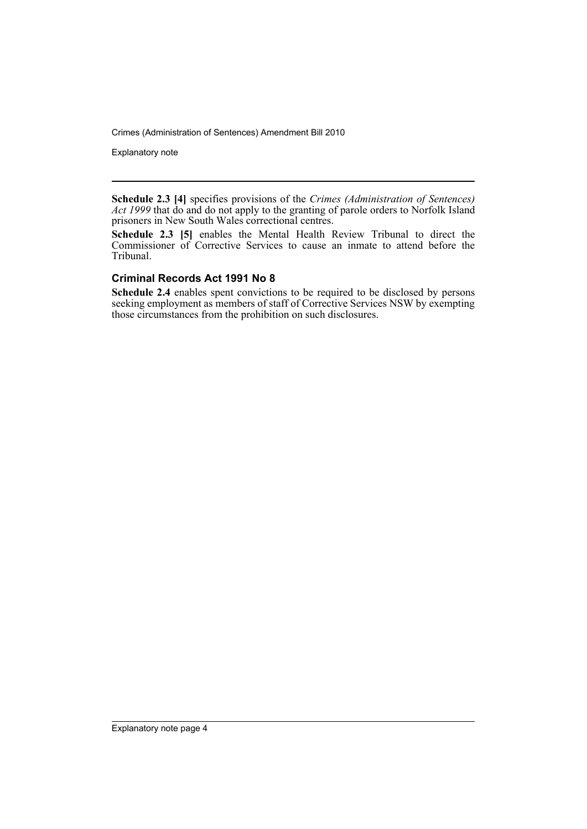Explanatory note

**Schedule 2.3 [4]** specifies provisions of the *Crimes (Administration of Sentences) Act 1999* that do and do not apply to the granting of parole orders to Norfolk Island prisoners in New South Wales correctional centres.

**Schedule 2.3 [5]** enables the Mental Health Review Tribunal to direct the Commissioner of Corrective Services to cause an inmate to attend before the Tribunal.

#### **Criminal Records Act 1991 No 8**

**Schedule 2.4** enables spent convictions to be required to be disclosed by persons seeking employment as members of staff of Corrective Services NSW by exempting those circumstances from the prohibition on such disclosures.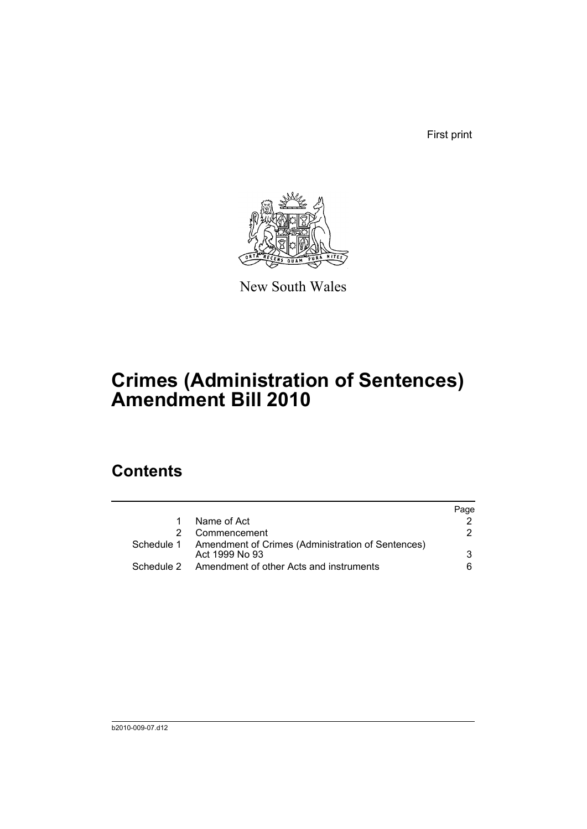First print



New South Wales

## **Crimes (Administration of Sentences) Amendment Bill 2010**

## **Contents**

|                                                                                | Page |
|--------------------------------------------------------------------------------|------|
| Name of Act                                                                    |      |
| Commencement                                                                   | 2    |
| Schedule 1 Amendment of Crimes (Administration of Sentences)<br>Act 1999 No 93 | 3    |
| Amendment of other Acts and instruments                                        | 6    |
|                                                                                |      |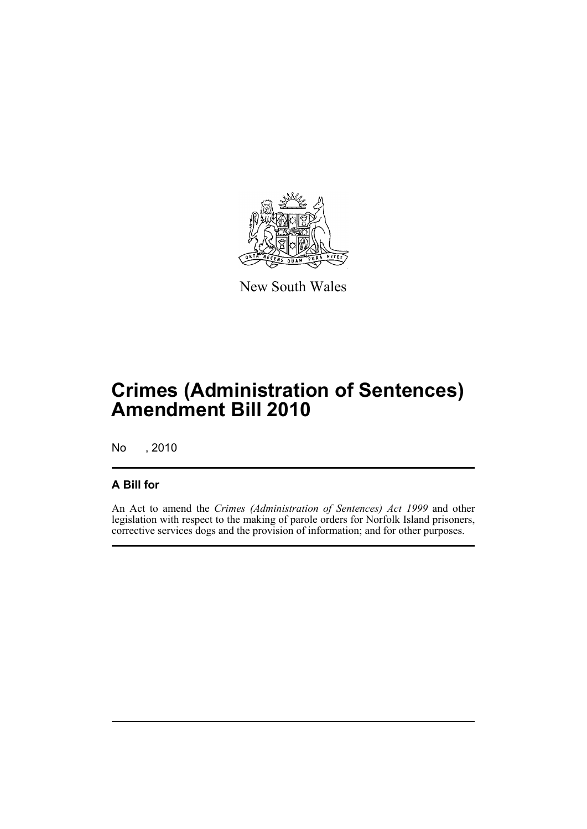

New South Wales

## **Crimes (Administration of Sentences) Amendment Bill 2010**

No , 2010

#### **A Bill for**

An Act to amend the *Crimes (Administration of Sentences) Act 1999* and other legislation with respect to the making of parole orders for Norfolk Island prisoners, corrective services dogs and the provision of information; and for other purposes.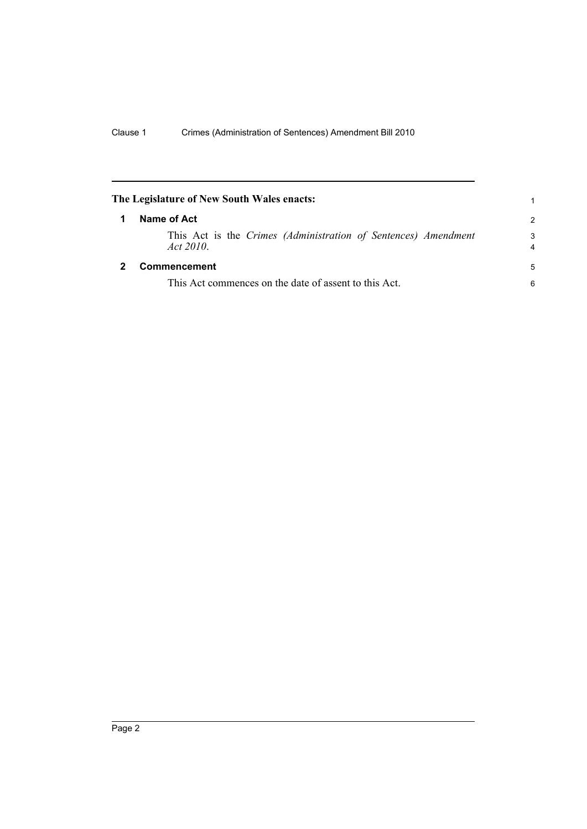<span id="page-7-1"></span><span id="page-7-0"></span>

|   | The Legislature of New South Wales enacts:                                 | 1             |
|---|----------------------------------------------------------------------------|---------------|
| 1 | Name of Act                                                                | $\mathcal{P}$ |
|   | This Act is the Crimes (Administration of Sentences) Amendment<br>Act 2010 | 3<br>4        |
|   | Commencement                                                               | 5             |
|   | This Act commences on the date of assent to this Act.                      | 6             |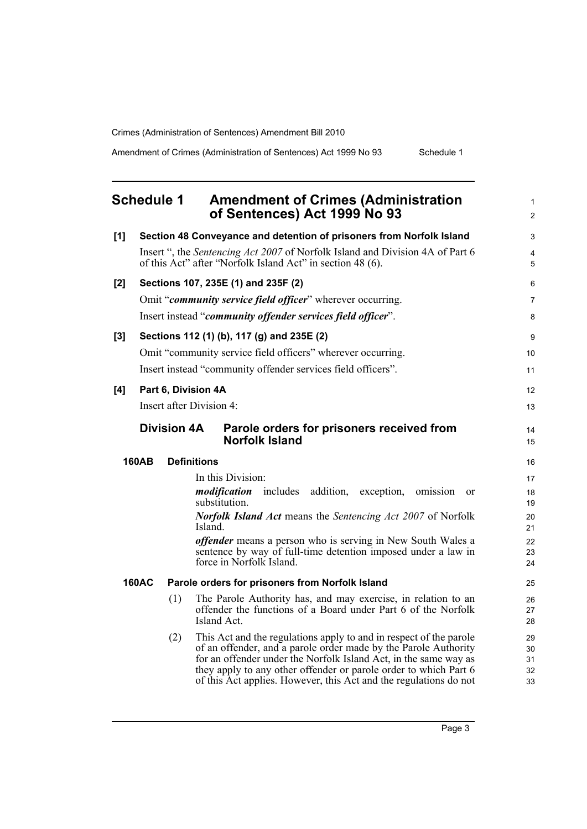Amendment of Crimes (Administration of Sentences) Act 1999 No 93 Schedule 1

| <b>Schedule 1</b> |  | <b>Amendment of Crimes (Administration</b><br>of Sentences) Act 1999 No 93                                                                         |  |
|-------------------|--|----------------------------------------------------------------------------------------------------------------------------------------------------|--|
| [1]               |  | Section 48 Conveyance and detention of prisoners from Norfolk Island                                                                               |  |
|                   |  | Insert ", the <i>Sentencing Act 2007</i> of Norfolk Island and Division 4A of Part 6<br>of this Act" after "Norfolk Island Act" in section 48 (6). |  |
| $[2]$             |  | Sections 107, 235E (1) and 235F (2)                                                                                                                |  |

Insert instead "*community offender services field officer*". **[3] Sections 112 (1) (b), 117 (g) and 235E (2)**  Omit "community service field officers" wherever occurring. Insert instead "community offender services field officers". Insert after Division 4: **Division 4A Parole orders for prisoners received from** 

#### **160AB Definitions**

In this Division: *modification* includes addition, exception, omission or substitution. *Norfolk Island Act* means the *Sentencing Act 2007* of Norfolk Island. *offender* means a person who is serving in New South Wales a sentence by way of full-time detention imposed under a law in force in Norfolk Island.

#### **160AC Parole orders for prisoners from Norfolk Island**

- (1) The Parole Authority has, and may exercise, in relation to an offender the functions of a Board under Part 6 of the Norfolk Island Act.
- (2) This Act and the regulations apply to and in respect of the parole of an offender, and a parole order made by the Parole Authority for an offender under the Norfolk Island Act, in the same way as they apply to any other offender or parole order to which Part 6 of this Act applies. However, this Act and the regulations do not

Page 3

<span id="page-8-0"></span>

#### **[4] Part 6, Division 4A**

# **Norfolk Island**

Omit "*community service field officer*" wherever occurring.

1  $\mathfrak{p}$ 

 $\overline{a}$ 4 5

6 7 8

9 10 11

12 13

 $14$ 15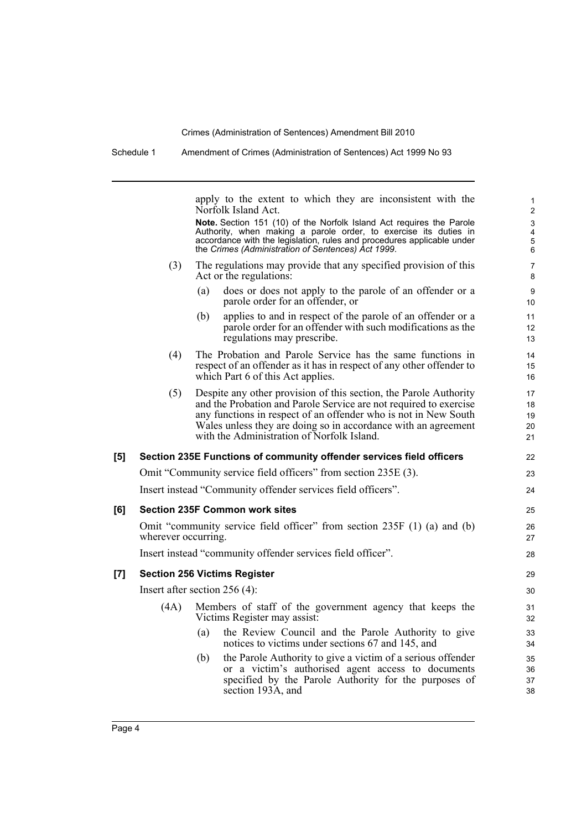| Schedule 1 |                                                                                                 | Amendment of Crimes (Administration of Sentences) Act 1999 No 93                                                                                                                                                                                                                                                                                               |                                                   |  |
|------------|-------------------------------------------------------------------------------------------------|----------------------------------------------------------------------------------------------------------------------------------------------------------------------------------------------------------------------------------------------------------------------------------------------------------------------------------------------------------------|---------------------------------------------------|--|
|            |                                                                                                 | apply to the extent to which they are inconsistent with the<br>Norfolk Island Act.<br>Note. Section 151 (10) of the Norfolk Island Act requires the Parole<br>Authority, when making a parole order, to exercise its duties in<br>accordance with the legislation, rules and procedures applicable under<br>the Crimes (Administration of Sentences) Act 1999. | 1<br>$\overline{2}$<br>3<br>4<br>$\mathbf 5$<br>6 |  |
|            | (3)                                                                                             | The regulations may provide that any specified provision of this<br>Act or the regulations:<br>does or does not apply to the parole of an offender or a<br>(a)                                                                                                                                                                                                 | 7<br>8                                            |  |
|            |                                                                                                 | parole order for an offender, or<br>applies to and in respect of the parole of an offender or a<br>(b)<br>parole order for an offender with such modifications as the<br>regulations may prescribe.                                                                                                                                                            | 9<br>10<br>11<br>12 <sup>2</sup><br>13            |  |
|            | (4)                                                                                             | The Probation and Parole Service has the same functions in<br>respect of an offender as it has in respect of any other offender to<br>which Part 6 of this Act applies.                                                                                                                                                                                        | 14<br>15<br>16                                    |  |
|            | (5)                                                                                             | Despite any other provision of this section, the Parole Authority<br>and the Probation and Parole Service are not required to exercise<br>any functions in respect of an offender who is not in New South<br>Wales unless they are doing so in accordance with an agreement<br>with the Administration of Norfolk Island.                                      | 17<br>18<br>19<br>20<br>21                        |  |
| [5]        |                                                                                                 | Section 235E Functions of community offender services field officers                                                                                                                                                                                                                                                                                           | 22                                                |  |
|            |                                                                                                 | Omit "Community service field officers" from section 235E (3).                                                                                                                                                                                                                                                                                                 | 23                                                |  |
|            | Insert instead "Community offender services field officers".                                    |                                                                                                                                                                                                                                                                                                                                                                | 24                                                |  |
| [6]        |                                                                                                 | <b>Section 235F Common work sites</b>                                                                                                                                                                                                                                                                                                                          | 25                                                |  |
|            | Omit "community service field officer" from section 235F (1) (a) and (b)<br>wherever occurring. |                                                                                                                                                                                                                                                                                                                                                                |                                                   |  |
|            |                                                                                                 | Insert instead "community offender services field officer".                                                                                                                                                                                                                                                                                                    | 28                                                |  |
| $[7]$      |                                                                                                 | <b>Section 256 Victims Register</b>                                                                                                                                                                                                                                                                                                                            | 29                                                |  |
|            |                                                                                                 | Insert after section $256(4)$ :                                                                                                                                                                                                                                                                                                                                | 30                                                |  |
|            | (4A)                                                                                            | Members of staff of the government agency that keeps the<br>Victims Register may assist:                                                                                                                                                                                                                                                                       | 31<br>32                                          |  |
|            |                                                                                                 | the Review Council and the Parole Authority to give<br>(a)<br>notices to victims under sections 67 and 145, and                                                                                                                                                                                                                                                | 33<br>34                                          |  |
|            |                                                                                                 | the Parole Authority to give a victim of a serious offender<br>(b)<br>or a victim's authorised agent access to documents<br>specified by the Parole Authority for the purposes of<br>section 193A, and                                                                                                                                                         | 35<br>36<br>37<br>38                              |  |
|            |                                                                                                 |                                                                                                                                                                                                                                                                                                                                                                |                                                   |  |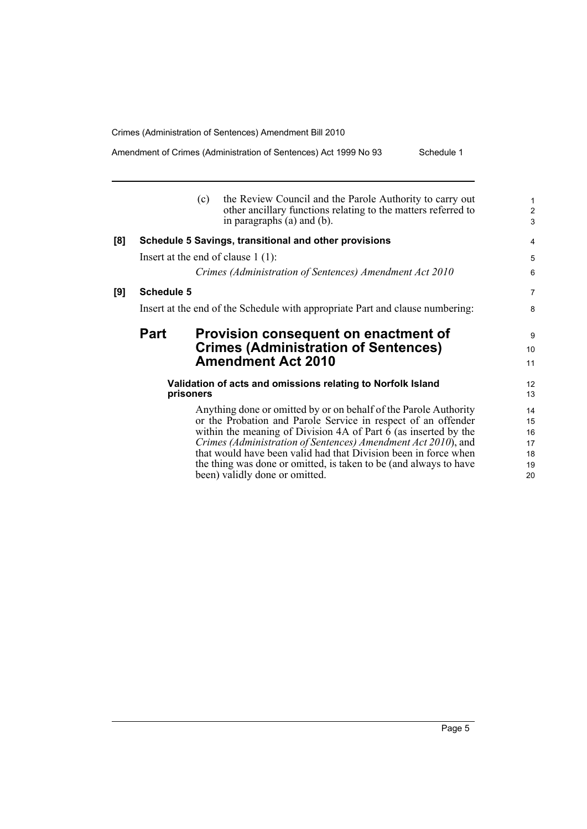**[9] Schedule 5**

Amendment of Crimes (Administration of Sentences) Act 1999 No 93 Schedule 1

|     |                   | (c)       | the Review Council and the Parole Authority to carry out<br>other ancillary functions relating to the matters referred to<br>in paragraphs (a) and (b). | $\mathbf{1}$<br>$\overline{c}$<br>3 |
|-----|-------------------|-----------|---------------------------------------------------------------------------------------------------------------------------------------------------------|-------------------------------------|
| [8] |                   |           | Schedule 5 Savings, transitional and other provisions                                                                                                   | 4                                   |
|     |                   |           | Insert at the end of clause $1(1)$ :                                                                                                                    | 5                                   |
|     |                   |           | Crimes (Administration of Sentences) Amendment Act 2010                                                                                                 | 6                                   |
| [9] | <b>Schedule 5</b> |           |                                                                                                                                                         | $\overline{7}$                      |
|     |                   |           | Insert at the end of the Schedule with appropriate Part and clause numbering:                                                                           | 8                                   |
|     | <b>Part</b>       |           | Provision consequent on enactment of                                                                                                                    | 9                                   |
|     |                   |           | <b>Crimes (Administration of Sentences)</b>                                                                                                             | 10                                  |
|     |                   |           | <b>Amendment Act 2010</b>                                                                                                                               | 11                                  |
|     |                   |           | Validation of acts and omissions relating to Norfolk Island                                                                                             | 12                                  |
|     |                   | prisoners |                                                                                                                                                         | 13                                  |
|     |                   |           | Anything done or omitted by or on behalf of the Parole Authority                                                                                        | 14                                  |
|     |                   |           | or the Probation and Parole Service in respect of an offender                                                                                           | 15                                  |
|     |                   |           | within the meaning of Division 4A of Part $\bar{6}$ (as inserted by the                                                                                 | 16                                  |
|     |                   |           | Crimes (Administration of Sentences) Amendment Act 2010), and<br>that would have been valid had that Division been in force when                        | 17                                  |
|     |                   |           | the thing was done or omitted, is taken to be (and always to have                                                                                       | 18<br>19                            |
|     |                   |           | been) validly done or omitted.                                                                                                                          | 20                                  |
|     |                   |           |                                                                                                                                                         |                                     |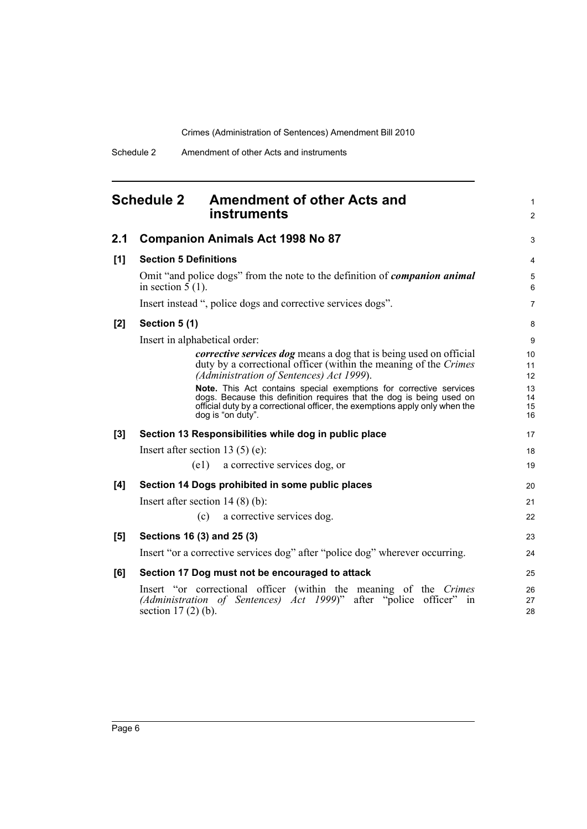<span id="page-11-0"></span>

|       | <b>Schedule 2</b><br><b>Amendment of other Acts and</b><br><b>instruments</b>                                                                                                                                                                  | $\mathbf{1}$<br>$\overline{2}$ |
|-------|------------------------------------------------------------------------------------------------------------------------------------------------------------------------------------------------------------------------------------------------|--------------------------------|
| 2.1   | <b>Companion Animals Act 1998 No 87</b>                                                                                                                                                                                                        | 3                              |
| [1]   | <b>Section 5 Definitions</b>                                                                                                                                                                                                                   | 4                              |
|       | Omit "and police dogs" from the note to the definition of <i>companion animal</i><br>in section $5(1)$ .                                                                                                                                       | 5<br>6                         |
|       | Insert instead ", police dogs and corrective services dogs".                                                                                                                                                                                   | $\overline{7}$                 |
| [2]   | Section 5 (1)                                                                                                                                                                                                                                  | 8                              |
|       | Insert in alphabetical order:                                                                                                                                                                                                                  | 9                              |
|       | <i>corrective services dog</i> means a dog that is being used on official<br>duty by a correctional officer (within the meaning of the Crimes<br>(Administration of Sentences) Act 1999).                                                      | 10<br>11<br>12                 |
|       | Note. This Act contains special exemptions for corrective services<br>dogs. Because this definition requires that the dog is being used on<br>official duty by a correctional officer, the exemptions apply only when the<br>dog is "on duty". | 13<br>14<br>15<br>16           |
| $[3]$ | Section 13 Responsibilities while dog in public place                                                                                                                                                                                          | 17                             |
|       | Insert after section 13 $(5)$ (e):                                                                                                                                                                                                             | 18                             |
|       | (e1)<br>a corrective services dog, or                                                                                                                                                                                                          | 19                             |
| [4]   | Section 14 Dogs prohibited in some public places                                                                                                                                                                                               | 20                             |
|       | Insert after section $14(8)(b)$ :                                                                                                                                                                                                              | 21                             |
|       | a corrective services dog.<br>(c)                                                                                                                                                                                                              | 22                             |
| [5]   | Sections 16 (3) and 25 (3)                                                                                                                                                                                                                     | 23                             |
|       | Insert "or a corrective services dog" after "police dog" wherever occurring.                                                                                                                                                                   | 24                             |
| [6]   | Section 17 Dog must not be encouraged to attack                                                                                                                                                                                                | 25                             |
|       | Insert "or correctional officer (within the meaning of the Crimes<br>(Administration of Sentences) Act 1999)" after "police officer"<br>in<br>section $17(2)$ (b).                                                                             | 26<br>27<br>28                 |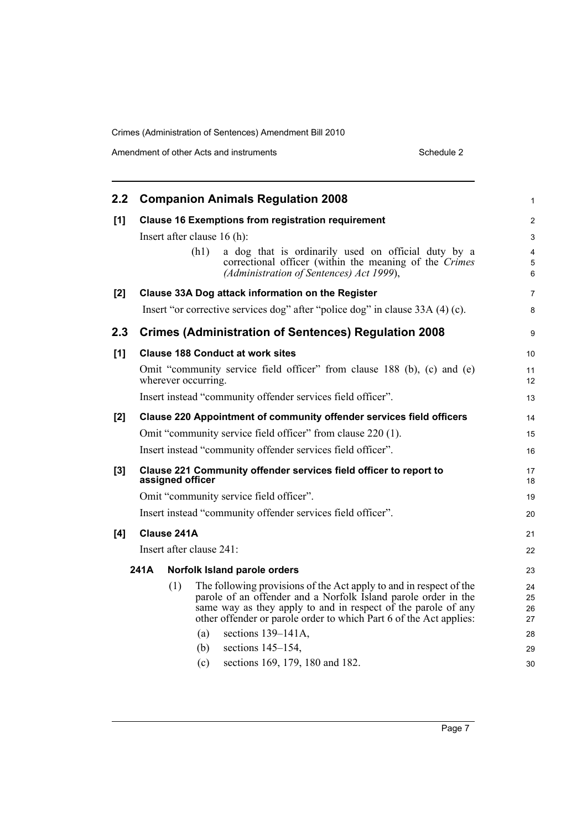| 2.2 | <b>Companion Animals Regulation 2008</b>                                                                                                                                                                                                                                                                                                                                                    | 1                                      |
|-----|---------------------------------------------------------------------------------------------------------------------------------------------------------------------------------------------------------------------------------------------------------------------------------------------------------------------------------------------------------------------------------------------|----------------------------------------|
| [1] | <b>Clause 16 Exemptions from registration requirement</b>                                                                                                                                                                                                                                                                                                                                   | $\overline{c}$                         |
|     | Insert after clause 16 (h):<br>(h1)<br>a dog that is ordinarily used on official duty by a<br>correctional officer (within the meaning of the Crimes<br>(Administration of Sentences) Act 1999),                                                                                                                                                                                            | 3<br>4<br>5<br>6                       |
| [2] | Clause 33A Dog attack information on the Register                                                                                                                                                                                                                                                                                                                                           | 7                                      |
|     | Insert "or corrective services dog" after "police dog" in clause 33A (4) (c).                                                                                                                                                                                                                                                                                                               | 8                                      |
| 2.3 | <b>Crimes (Administration of Sentences) Regulation 2008</b>                                                                                                                                                                                                                                                                                                                                 | 9                                      |
| [1] | <b>Clause 188 Conduct at work sites</b>                                                                                                                                                                                                                                                                                                                                                     | 10                                     |
|     | Omit "community service field officer" from clause 188 (b), (c) and (e)<br>wherever occurring.                                                                                                                                                                                                                                                                                              | 11<br>12                               |
|     | Insert instead "community offender services field officer".                                                                                                                                                                                                                                                                                                                                 | 13                                     |
| [2] | Clause 220 Appointment of community offender services field officers                                                                                                                                                                                                                                                                                                                        | 14                                     |
|     | Omit "community service field officer" from clause 220 (1).                                                                                                                                                                                                                                                                                                                                 | 15                                     |
|     | Insert instead "community offender services field officer".                                                                                                                                                                                                                                                                                                                                 | 16                                     |
| [3] | Clause 221 Community offender services field officer to report to<br>assigned officer                                                                                                                                                                                                                                                                                                       |                                        |
|     | Omit "community service field officer".                                                                                                                                                                                                                                                                                                                                                     | 19                                     |
|     | Insert instead "community offender services field officer".                                                                                                                                                                                                                                                                                                                                 | 20                                     |
| [4] | Clause 241A                                                                                                                                                                                                                                                                                                                                                                                 | 21                                     |
|     | Insert after clause 241:                                                                                                                                                                                                                                                                                                                                                                    | 22                                     |
|     | 241A<br>Norfolk Island parole orders                                                                                                                                                                                                                                                                                                                                                        | 23                                     |
|     | (1)<br>The following provisions of the Act apply to and in respect of the<br>parole of an offender and a Norfolk Island parole order in the<br>same way as they apply to and in respect of the parole of any<br>other offender or parole order to which Part 6 of the Act applies:<br>sections $139-141A$ ,<br>(a)<br>sections $145-154$ ,<br>(b)<br>sections 169, 179, 180 and 182.<br>(c) | 24<br>25<br>26<br>27<br>28<br>29<br>30 |